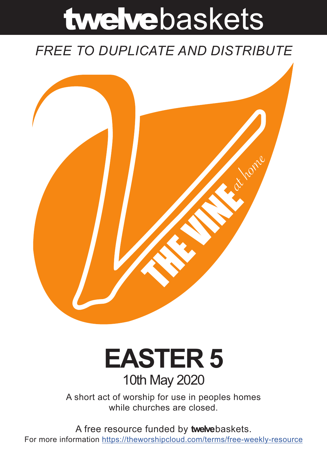# twelvebaskets

### *FREE TO DUPLICATE AND DISTRIBUTE*



## **EASTER 5** 10th May 2020

A short act of worship for use in peoples homes while churches are closed.

A free resource funded by **twelve**baskets. For more information https://theworshipcloud.com/terms/free-weekly-resource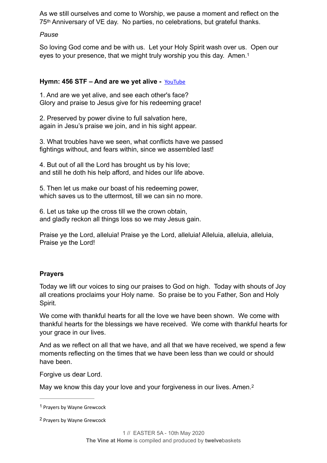As we still ourselves and come to Worship, we pause a moment and reflect on the 75th Anniversary of VE day. No parties, no celebrations, but grateful thanks.

#### *Pause*

<span id="page-1-2"></span>So loving God come and be with us. Let your Holy Spirit wash over us. Open our eyes to your presence, that we might truly worship you this day. Amen[.1](#page-1-0)

#### **Hymn: 456 STF – And are we yet alive -** [YouTube](https://youtu.be/QOEY-75qtnM)

1. And are we yet alive, and see each other's face? Glory and praise to Jesus give for his redeeming grace!

2. Preserved by power divine to full salvation here, again in Jesu's praise we join, and in his sight appear.

3. What troubles have we seen, what conflicts have we passed fightings without, and fears within, since we assembled last!

4. But out of all the Lord has brought us by his love; and still he doth his help afford, and hides our life above.

5. Then let us make our boast of his redeeming power, which saves us to the uttermost, till we can sin no more.

6. Let us take up the cross till we the crown obtain, and gladly reckon all things loss so we may Jesus gain.

Praise ye the Lord, alleluia! Praise ye the Lord, alleluia! Alleluia, alleluia, alleluia, Praise ye the Lord!

#### **Prayers**

Today we lift our voices to sing our praises to God on high. Today with shouts of Joy all creations proclaims your Holy name. So praise be to you Father, Son and Holy Spirit.

We come with thankful hearts for all the love we have been shown. We come with thankful hearts for the blessings we have received. We come with thankful hearts for your grace in our lives.

And as we reflect on all that we have, and all that we have received, we spend a few moments reflecting on the times that we have been less than we could or should have been.

Forgive us dear Lord.

<span id="page-1-3"></span>May we know this day your love and your forgiveness in our lives. Amen.<sup>[2](#page-1-1)</sup>

<span id="page-1-0"></span><sup>&</sup>lt;sup>[1](#page-1-2)</sup> Prayers by Wayne Grewcock

<span id="page-1-1"></span><sup>&</sup>lt;sup>[2](#page-1-3)</sup> Prayers by Wayne Grewcock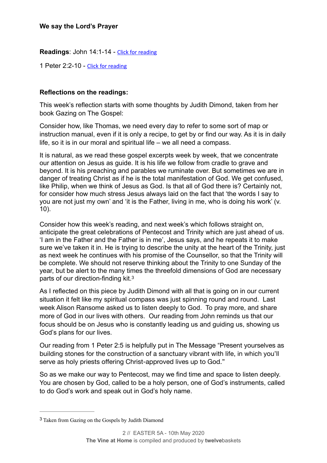**Readings**: John 14:1-14 - [Click for reading](https://www.biblegateway.com/passage/?search=John+14:1-14&version=NIV)

1 Peter 2:2-10 - [Click for reading](https://www.biblegateway.com/passage/?search=1+Peter+2:2-10&version=NIV)

#### **Reflections on the readings:**

This week's reflection starts with some thoughts by Judith Dimond, taken from her book Gazing on The Gospel:

Consider how, like Thomas, we need every day to refer to some sort of map or instruction manual, even if it is only a recipe, to get by or find our way. As it is in daily life, so it is in our moral and spiritual life – we all need a compass.

It is natural, as we read these gospel excerpts week by week, that we concentrate our attention on Jesus as guide. It is his life we follow from cradle to grave and beyond. It is his preaching and parables we ruminate over. But sometimes we are in danger of treating Christ as if he is the total manifestation of God. We get confused, like Philip, when we think of Jesus as God. Is that all of God there is? Certainly not, for consider how much stress Jesus always laid on the fact that 'the words I say to you are not just my own' and 'it is the Father, living in me, who is doing his work' (v. 10).

Consider how this week's reading, and next week's which follows straight on, anticipate the great celebrations of Pentecost and Trinity which are just ahead of us. 'I am in the Father and the Father is in me', Jesus says, and he repeats it to make sure we've taken it in. He is trying to describe the unity at the heart of the Trinity, just as next week he continues with his promise of the Counsellor, so that the Trinity will be complete. We should not reserve thinking about the Trinity to one Sunday of the year, but be alert to the many times the threefold dimensions of God are necessary parts of our direction-finding kit[.3](#page-2-0)

<span id="page-2-1"></span>As I reflected on this piece by Judith Dimond with all that is going on in our current situation it felt like my spiritual compass was just spinning round and round. Last week Alison Ransome asked us to listen deeply to God. To pray more, and share more of God in our lives with others. Our reading from John reminds us that our focus should be on Jesus who is constantly leading us and guiding us, showing us God's plans for our lives.

Our reading from 1 Peter 2:5 is helpfully put in The Message "Present yourselves as building stones for the construction of a sanctuary vibrant with life, in which you'll serve as holy priests offering Christ-approved lives up to God."

So as we make our way to Pentecost, may we find time and space to listen deeply. You are chosen by God, called to be a holy person, one of God's instruments, called to do God's work and speak out in God's holy name.

<span id="page-2-0"></span>Taken from Gazing on the Gospels by Judith Diamond [3](#page-2-1)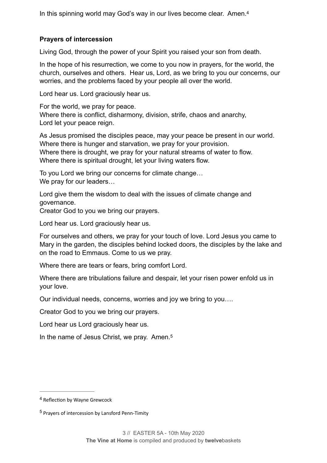<span id="page-3-2"></span>In this spinning world may God's way in our lives become clear. Amen.[4](#page-3-0)

#### **Prayers of intercession**

Living God, through the power of your Spirit you raised your son from death.

In the hope of his resurrection, we come to you now in prayers, for the world, the church, ourselves and others. Hear us, Lord, as we bring to you our concerns, our worries, and the problems faced by your people all over the world.

Lord hear us. Lord graciously hear us.

For the world, we pray for peace. Where there is conflict, disharmony, division, strife, chaos and anarchy, Lord let your peace reign.

As Jesus promised the disciples peace, may your peace be present in our world. Where there is hunger and starvation, we pray for your provision. Where there is drought, we pray for your natural streams of water to flow. Where there is spiritual drought, let your living waters flow.

To you Lord we bring our concerns for climate change… We pray for our leaders...

Lord give them the wisdom to deal with the issues of climate change and governance.

Creator God to you we bring our prayers.

Lord hear us. Lord graciously hear us.

For ourselves and others, we pray for your touch of love. Lord Jesus you came to Mary in the garden, the disciples behind locked doors, the disciples by the lake and on the road to Emmaus. Come to us we pray.

Where there are tears or fears, bring comfort Lord.

Where there are tribulations failure and despair, let your risen power enfold us in your love.

Our individual needs, concerns, worries and joy we bring to you….

Creator God to you we bring our prayers.

Lord hear us Lord graciously hear us.

<span id="page-3-3"></span>In the name of Jesus Christ, we pray. Amen.<sup>[5](#page-3-1)</sup>

<span id="page-3-0"></span><sup>&</sup>lt;sup>[4](#page-3-2)</sup> Reflection by Wayne Grewcock

<span id="page-3-1"></span><sup>&</sup>lt;sup>[5](#page-3-3)</sup> Prayers of intercession by Lansford Penn-Timity